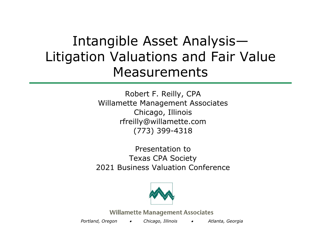## Intangible Asset Analysis— Litigation Valuations and Fair Value Measurements

Robert F. Reilly, CPA Willamette Management Associates Chicago, Illinois rfreilly@willamette.com (773) 399-4318

Presentation toTexas CPA Society 2021 Business Valuation Conference



**Willamette Management Associates** 

*Portland, Oregon Chicago, Illinois Atlanta, Georgia*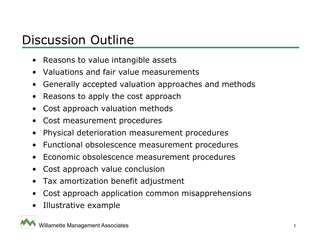#### Discussion Outline

- •Reasons to value intangible assets
- Valuations and fair value measurements
- •Generally accepted valuation approaches and methods
- $\bullet$ Reasons to apply the cost approach
- •Cost approach valuation methods
- •Cost measurement procedures
- •Physical deterioration measurement procedures
- •Functional obsolescence measurement procedures
- •Economic obsolescence measurement procedures
- •Cost approach value conclusion
- •Tax amortization benefit adjustment
- •Cost approach application common misapprehensions
- •Illustrative example

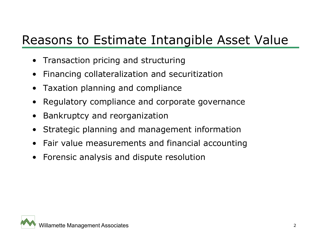#### Reasons to Estimate Intangible Asset Value

- Transaction pricing and structuring
- •Financing collateralization and securitization
- $\bullet$ Taxation planning and compliance
- $\bullet$ Regulatory compliance and corporate governance
- •Bankruptcy and reorganization
- $\bullet$ Strategic planning and management information
- •Fair value measurements and financial accounting
- •Forensic analysis and dispute resolution

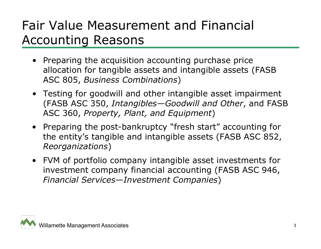## Fair Value Measurement and Financial Accounting Reasons

- Preparing the acquisition accounting purchase price allocation for tangible assets and intangible assets (FASB ASC 805, *Business Combinations*)
- Testing for goodwill and other intangible asset impairment (FASB ASC 350, *Intangibles—Goodwill and Other*, and FASB ASC 360, *Property, Plant, and Equipment*)
- Preparing the post-bankruptcy "fresh start" accounting for the entity's tangible and intangible assets (FASB ASC 852, *Reorganizations*)
- FVM of portfolio company intangible asset investments for investment company financial accounting (FASB ASC 946, *Financial Services—Investment Companies*)

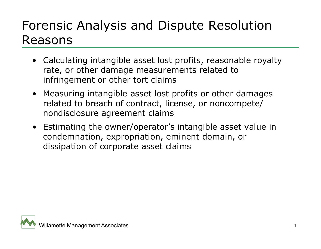#### Forensic Analysis and Dispute Resolution Reasons

- Calculating intangible asset lost profits, reasonable royalty rate, or other damage measurements related to infringement or other tort claims
- Measuring intangible asset lost profits or other damages related to breach of contract, license, or noncompete/ nondisclosure agreement claims
- Estimating the owner/operator's intangible asset value in condemnation, expropriation, eminent domain, or dissipation of corporate asset claims

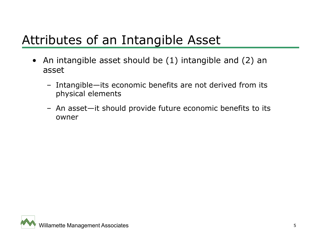### Attributes of an Intangible Asset

- An intangible asset should be (1) intangible and (2) an asset
	- Intangible—its economic benefits are not derived from its physical elements
	- An asset—it should provide future economic benefits to its owner

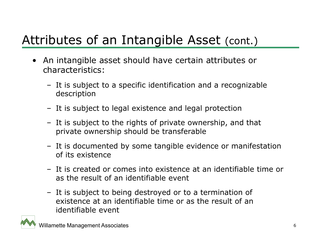## Attributes of an Intangible Asset (cont.)

- An intangible asset should have certain attributes or characteristics:
	- It is subject to a specific identification and a recognizable description
	- It is subject to legal existence and legal protection
	- It is subject to the rights of private ownership, and that private ownership should be transferable
	- It is documented by some tangible evidence or manifestation of its existence
	- It is created or comes into existence at an identifiable time or as the result of an identifiable event
	- It is subject to being destroyed or to a termination of existence at an identifiable time or as the result of an identifiable event

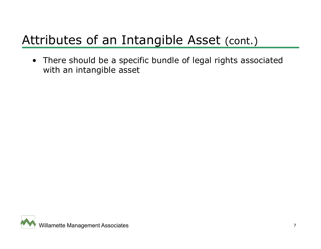# Attributes of an Intangible Asset (cont.)

• There should be a specific bundle of legal rights associated with an intangible asset

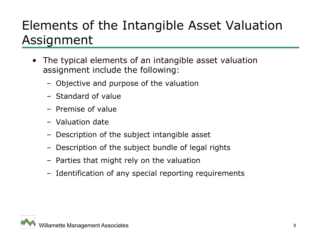## Elements of the Intangible Asset Valuation Assignment

- • The typical elements of an intangible asset valuation assignment include the following:
	- Objective and purpose of the valuation
	- Standard of value
	- Premise of value
	- Valuation date
	- Description of the subject intangible asset
	- Description of the subject bundle of legal rights
	- Parties that might rely on the valuation
	- Identification of any special reporting requirements

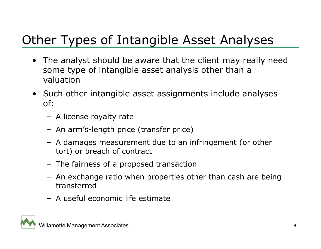# Other Types of Intangible Asset Analyses

- The analyst should be aware that the client may really need some type of intangible asset analysis other than a valuation
- Such other intangible asset assignments include analyses of:
	- A license royalty rate
	- An arm's-length price (transfer price)
	- A damages measurement due to an infringement (or other tort) or breach of contract
	- The fairness of a proposed transaction
	- An exchange ratio when properties other than cash are being transferred
	- A useful economic life estimate

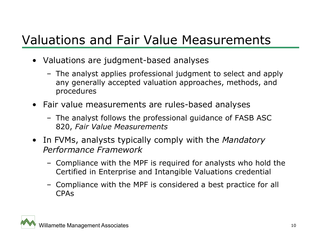### Valuations and Fair Value Measurements

- Valuations are judgment-based analyses
	- The analyst applies professional judgment to select and apply any generally accepted valuation approaches, methods, and procedures
- Fair value measurements are rules-based analyses
	- The analyst follows the professional guidance of FASB ASC 820, *Fair Value Measurements*
- In FVMs, analysts typically comply with the *Mandatory Performance Framework*
	- Compliance with the MPF is required for analysts who hold the Certified in Enterprise and Intangible Valuations credential
	- Compliance with the MPF is considered a best practice for all CPAs

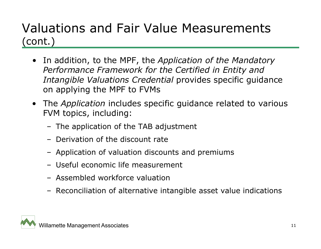#### Valuations and Fair Value Measurements (cont.)

- In addition, to the MPF, the *Application of the Mandatory Performance Framework for the Certified in Entity and Intangible Valuations Credential* provides specific guidance on applying the MPF to FVMs
- The *Application* includes specific guidance related to various FVM topics, including:
	- The application of the TAB adjustment
	- Derivation of the discount rate
	- Application of valuation discounts and premiums
	- Useful economic life measurement
	- Assembled workforce valuation
	- Reconciliation of alternative intangible asset value indications

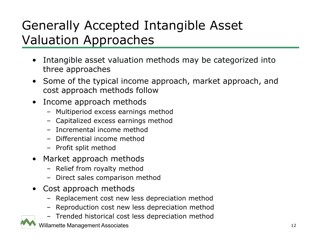# Generally Accepted Intangible Asset Valuation Approaches

- • Intangible asset valuation methods may be categorized into three approaches
- Some of the typical income approach, market approach, and cost approach methods follow
- Income approach methods
	- Multiperiod excess earnings method
	- Capitalized excess earnings method
	- Incremental income method
	- Differential income method
	- Profit split method
- Market approach methods
	- Relief from royalty method
	- Direct sales comparison method
- • Cost approach methods
	- Replacement cost new less depreciation method
	- Reproduction cost new less depreciation method
	- Trended historical cost less depreciation method

willamette Management Associates 12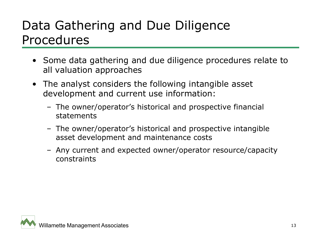#### Data Gathering and Due Diligence Procedures

- Some data gathering and due diligence procedures relate to all valuation approaches
- The analyst considers the following intangible asset development and current use information:
	- The owner/operator's historical and prospective financial statements
	- The owner/operator's historical and prospective intangible asset development and maintenance costs
	- Any current and expected owner/operator resource/capacity constraints

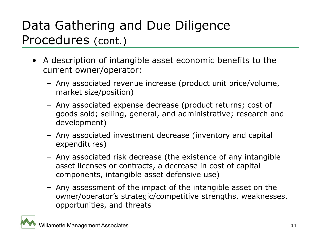## Data Gathering and Due Diligence Procedures (cont.)

- A description of intangible asset economic benefits to the current owner/operator:
	- Any associated revenue increase (product unit price/volume, market size/position)
	- Any associated expense decrease (product returns; cost of goods sold; selling, general, and administrative; research and development)
	- Any associated investment decrease (inventory and capital expenditures)
	- Any associated risk decrease (the existence of any intangible asset licenses or contracts, a decrease in cost of capital components, intangible asset defensive use)
	- Any assessment of the impact of the intangible asset on the owner/operator's strategic/competitive strengths, weaknesses, opportunities, and threats

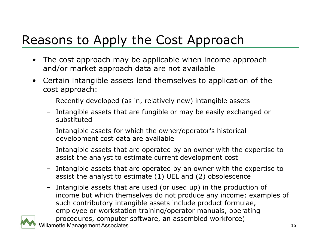# Reasons to Apply the Cost Approach

- • The cost approach may be applicable when income approach and/or market approach data are not available
- $\bullet$  Certain intangible assets lend themselves to application of the cost approach:
	- Recently developed (as in, relatively new) intangible assets
	- Intangible assets that are fungible or may be easily exchanged or substituted
	- Intangible assets for which the owner/operator's historical development cost data are available
	- Intangible assets that are operated by an owner with the expertise to assist the analyst to estimate current development cost
	- Intangible assets that are operated by an owner with the expertise to assist the analyst to estimate (1) UEL and (2) obsolescence
	- willamette Management Associates 15 – Intangible assets that are used (or used up) in the production of income but which themselves do not produce any income; examples of such contributory intangible assets include product formulae, employee or workstation training/operator manuals, operating procedures, computer software, an assembled workforce)

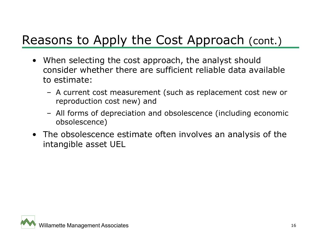## Reasons to Apply the Cost Approach (cont.)

- When selecting the cost approach, the analyst should consider whether there are sufficient reliable data available to estimate:
	- A current cost measurement (such as replacement cost new or reproduction cost new) and
	- All forms of depreciation and obsolescence (including economic obsolescence)
- The obsolescence estimate often involves an analysis of the intangible asset UEL

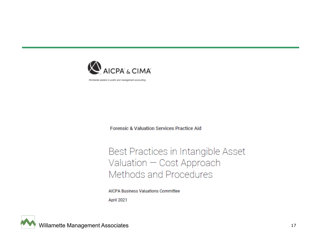

Worldwide leaders in public and management accounting

**Forensic & Valuation Services Practice Aid** 

#### Best Practices in Intangible Asset Valuation - Cost Approach Methods and Procedures

**AICPA Business Valuations Committee** April 2021

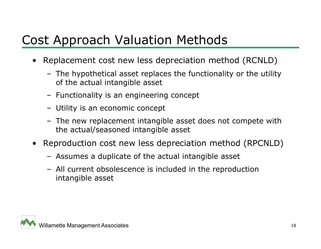## Cost Approach Valuation Methods

- • Replacement cost new less depreciation method (RCNLD)
	- The hypothetical asset replaces the functionality or the utility of the actual intangible asset
	- Functionality is an engineering concept
	- Utility is an economic concept
	- The new replacement intangible asset does not compete with the actual/seasoned intangible asset
- • Reproduction cost new less depreciation method (RPCNLD)
	- Assumes a duplicate of the actual intangible asset
	- All current obsolescence is included in the reproduction intangible asset

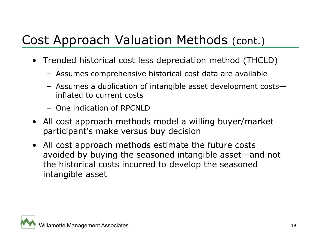## Cost Approach Valuation Methods (cont.)

- Trended historical cost less depreciation method (THCLD)
	- Assumes comprehensive historical cost data are available
	- Assumes a duplication of intangible asset development costs inflated to current costs
	- One indication of RPCNLD
- All cost approach methods model a willing buyer/market participant's make versus buy decision
- All cost approach methods estimate the future costs avoided by buying the seasoned intangible asset—and not the historical costs incurred to develop the seasoned intangible asset

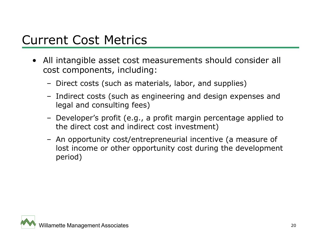#### Current Cost Metrics

- All intangible asset cost measurements should consider all cost components, including:
	- Direct costs (such as materials, labor, and supplies)
	- Indirect costs (such as engineering and design expenses and legal and consulting fees)
	- Developer's profit (e.g., a profit margin percentage applied to the direct cost and indirect cost investment)
	- An opportunity cost/entrepreneurial incentive (a measure of lost income or other opportunity cost during the development period)

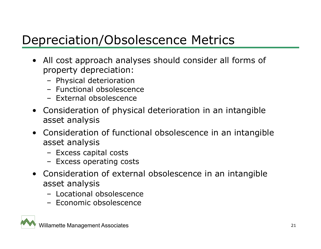## Depreciation/Obsolescence Metrics

- All cost approach analyses should consider all forms of property depreciation:
	- Physical deterioration
	- Functional obsolescence
	- External obsolescence
- Consideration of physical deterioration in an intangible asset analysis
- Consideration of functional obsolescence in an intangible asset analysis
	- Excess capital costs
	- Excess operating costs
- Consideration of external obsolescence in an intangible asset analysis
	- Locational obsolescence
	- Economic obsolescence

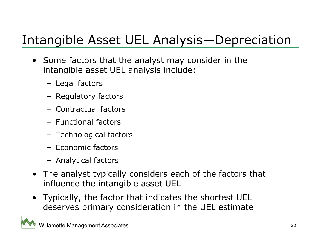## Intangible Asset UEL Analysis—Depreciation

- Some factors that the analyst may consider in the intangible asset UEL analysis include:
	- Legal factors
	- Regulatory factors
	- Contractual factors
	- Functional factors
	- Technological factors
	- Economic factors
	- Analytical factors
- The analyst typically considers each of the factors that influence the intangible asset UEL
- Typically, the factor that indicates the shortest UEL deserves primary consideration in the UEL estimate

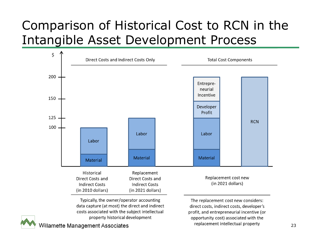### Comparison of Historical Cost to RCN in the Intangible Asset Development Process



Typically, the owner/operator accounting data capture (at most) the direct and indirect costs associated with the subject intellectual property historical development

The replacement cost new considers: direct costs, indirect costs, developer's profit, and entrepreneurial incentive (or opportunity cost) associated with the

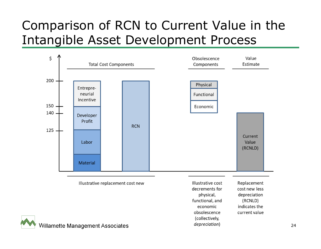## Comparison of RCN to Current Value in the Intangible Asset Development Process

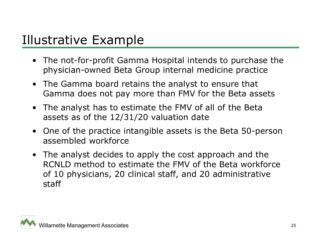#### Illustrative Example

- The not-for-profit Gamma Hospital intends to purchase the physician-owned Beta Group internal medicine practice
- The Gamma board retains the analyst to ensure that Gamma does not pay more than FMV for the Beta assets
- The analyst has to estimate the FMV of all of the Beta assets as of the 12/31/20 valuation date
- One of the practice intangible assets is the Beta 50-person assembled workforce
- The analyst decides to apply the cost approach and the RCNLD method to estimate the FMV of the Beta workforce of 10 physicians, 20 clinical staff, and 20 administrative staff

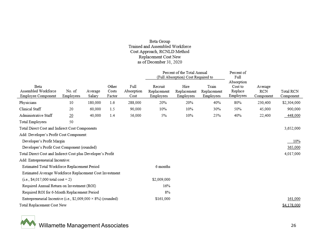#### Beta Group<br>Trained and Assembled Workforce Cost Approach, RCNLD Method Replacement Cost New as of December 31, 2020

|                                                                      |                    |                   |                          |                            |                                     | Percent of the Total Annual<br>(Full Absorption) Cost Required to |                                   | Percent of<br>Full                            |                             |                        |
|----------------------------------------------------------------------|--------------------|-------------------|--------------------------|----------------------------|-------------------------------------|-------------------------------------------------------------------|-----------------------------------|-----------------------------------------------|-----------------------------|------------------------|
| Beta<br>Assembled Workforce<br>Employee Component                    | No of<br>Employees | Average<br>Salary | Other<br>Costs<br>Factor | Full<br>Absorption<br>Cost | Recruit<br>Replacement<br>Employees | Hire<br>Replacement<br>Employees                                  | Train<br>Replacement<br>Employees | Absorption<br>Cost to<br>Replace<br>Employees | Average<br>RCN<br>Component | Total RCN<br>Component |
| Physicians                                                           | 10                 | 180,000           | 1.6                      | 288,000                    | 20%                                 | 20%                                                               | 40%                               | 80%                                           | 230,400                     | \$2,304,000            |
| Clinical Staff                                                       | 20                 | 60,000            | 1.5                      | 90,000                     | 10%                                 | 10%                                                               | 30%                               | 50%                                           | 45,000                      | 900,000                |
| Administrative Staff                                                 | 20                 | 40,000            | 1.4                      | 56,000                     | 5%                                  | 10%                                                               | 25%                               | 40%                                           | 22,400                      | 448,000                |
| Total Employees                                                      | 50                 |                   |                          |                            |                                     |                                                                   |                                   |                                               |                             |                        |
| Total Direct Cost and Indirect Cost Components                       |                    |                   |                          |                            |                                     |                                                                   |                                   |                                               |                             | 3,652,000              |
| Add: Developer's Profit Cost Component:                              |                    |                   |                          |                            |                                     |                                                                   |                                   |                                               |                             |                        |
| Developer's Profit Margin                                            |                    |                   |                          |                            |                                     |                                                                   |                                   |                                               |                             | 10%                    |
| Developer's Profit Cost Component (rounded)                          |                    |                   |                          |                            |                                     |                                                                   |                                   |                                               |                             | 365,000                |
| Total Direct Cost and Indirect Cost plus Developer's Profit          |                    |                   |                          |                            |                                     |                                                                   |                                   |                                               |                             | 4,017,000              |
| Add: Entrepreneurial Incentive:                                      |                    |                   |                          |                            |                                     |                                                                   |                                   |                                               |                             |                        |
| Estimated Total Workforce Replacement Period                         |                    |                   |                          |                            | 6 months                            |                                                                   |                                   |                                               |                             |                        |
| Estimated Average Workforce Replacement Cost Investment              |                    |                   |                          |                            |                                     |                                                                   |                                   |                                               |                             |                        |
| (i.e., \$4,017,000 total cost $\div$ 2)                              |                    |                   | \$2,009,000              |                            |                                     |                                                                   |                                   |                                               |                             |                        |
| Required Annual Return on Investment (ROI)                           |                    |                   |                          | 16%                        |                                     |                                                                   |                                   |                                               |                             |                        |
| Required ROI for 6-Month Replacement Period                          |                    |                   |                          |                            | 8%                                  |                                                                   |                                   |                                               |                             |                        |
| Entrepreneurial Incentive (i.e., $$2,009,000 \times 8\%$ ) (rounded) |                    |                   |                          | \$161,000                  |                                     |                                                                   |                                   |                                               | 161,000                     |                        |
| Total Replacement Cost New                                           |                    |                   |                          |                            |                                     |                                                                   |                                   |                                               | \$4,178,000                 |                        |



Willamette Management Associates 26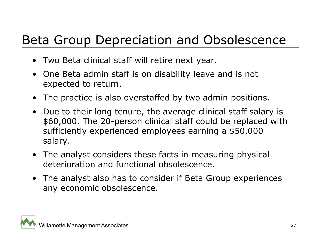#### Beta Group Depreciation and Obsolescence

- Two Beta clinical staff will retire next year.
- One Beta admin staff is on disability leave and is not expected to return.
- The practice is also overstaffed by two admin positions.
- Due to their long tenure, the average clinical staff salary is \$60,000. The 20-person clinical staff could be replaced with sufficiently experienced employees earning a \$50,000 salary.
- The analyst considers these facts in measuring physical deterioration and functional obsolescence.
- The analyst also has to consider if Beta Group experiences any economic obsolescence.

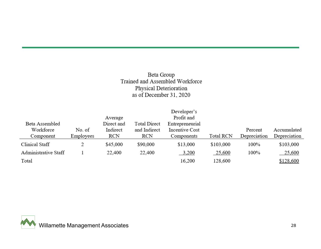#### Beta Group Trained and Assembled Workforce Physical Deterioration as of December 31, 2020

|                      |           |            |              | Developer's     |                  |              |              |
|----------------------|-----------|------------|--------------|-----------------|------------------|--------------|--------------|
|                      |           | Average    |              | Profit and      |                  |              |              |
| Beta Assembled       |           | Direct and | Total Direct | Entrepreneurial |                  |              |              |
| Workforce            | No. of    | Indirect   | and Indirect | Incentive Cost  |                  | Percent      | Accumulated  |
| Component            | Employees | RCN        | RCN          | Components      | <b>Total RCN</b> | Depreciation | Depreciation |
| Clinical Staff       |           | \$45,000   | \$90,000     | \$13,000        | \$103,000        | 100%         | \$103,000    |
| Administrative Staff |           | 22,400     | 22,400       | 3,200           | 25,600           | 100%         | 25,600       |
| Total                |           |            |              | 16,200          | 128,600          |              | \$128,600    |

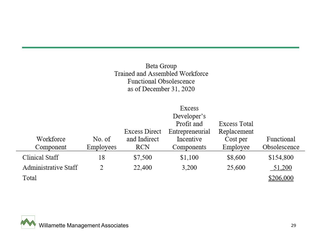#### Beta Group Trained and Assembled Workforce Functional Obsolescence as of December 31, 2020

|                      |           |               | Excess          |              |              |
|----------------------|-----------|---------------|-----------------|--------------|--------------|
|                      |           |               | Developer's     |              |              |
|                      |           |               | Profit and      | Excess Total |              |
|                      |           | Excess Direct | Entrepreneurial | Replacement  |              |
| Workforce            | No. of    | and Indirect  | Incentive       | Cost per     | Functional   |
| Component            | Employees | <b>RCN</b>    | Components      | Employee     | Obsolescence |
| Clinical Staff       | 18        | \$7,500       | \$1,100         | \$8,600      | \$154,800    |
| Administrative Staff | 2         | 22,400        | 3,200           | 25,600       | 51,200       |
| Total                |           |               |                 |              | \$206,000    |

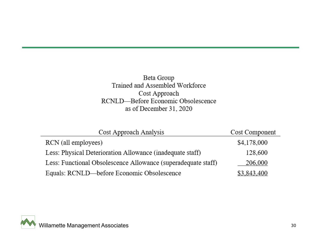Beta Group Trained and Assembled Workforce Cost Approach RCNLD-Before Economic Obsolescence as of December 31, 2020

| Cost Approach Analysis                                        | Cost Component |
|---------------------------------------------------------------|----------------|
| RCN (all employees)                                           | \$4,178,000    |
| Less: Physical Deterioration Allowance (inadequate staff)     | 128,600        |
| Less: Functional Obsolescence Allowance (superadequate staff) | 206,000        |
| Equals: RCNLD—before Economic Obsolescence                    | \$3,843,400    |

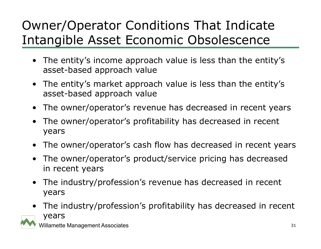## Owner/Operator Conditions That Indicate Intangible Asset Economic Obsolescence

- The entity's income approach value is less than the entity's asset-based approach value
- The entity's market approach value is less than the entity's asset-based approach value
- The owner/operator's revenue has decreased in recent years
- The owner/operator's profitability has decreased in recent years
- $\bullet$ The owner/operator's cash flow has decreased in recent years
- • The owner/operator's product/service pricing has decreased in recent years
- $\bullet$  The industry/profession's revenue has decreased in recent years
- The industry/profession's profitability has decreased in recent years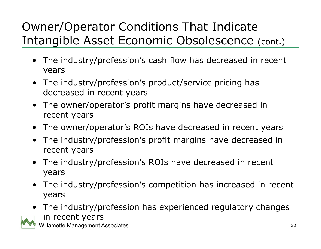#### Owner/Operator Conditions That Indicate Intangible Asset Economic Obsolescence (cont.)

- The industry/profession's cash flow has decreased in recent years
- The industry/profession's product/service pricing has decreased in recent years
- The owner/operator's profit margins have decreased in recent years
- The owner/operator's ROIs have decreased in recent years
- The industry/profession's profit margins have decreased in recent years
- • The industry/profession's ROIs have decreased in recent years
- The industry/profession's competition has increased in recent years
- The industry/profession has experienced regulatory changes in recent years

Willamette Management Associates 32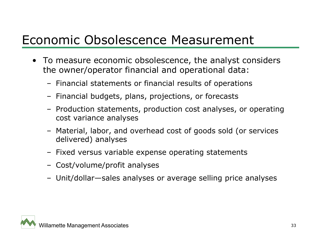#### Economic Obsolescence Measurement

- To measure economic obsolescence, the analyst considers the owner/operator financial and operational data:
	- Financial statements or financial results of operations
	- Financial budgets, plans, projections, or forecasts
	- Production statements, production cost analyses, or operating cost variance analyses
	- Material, labor, and overhead cost of goods sold (or services delivered) analyses
	- Fixed versus variable expense operating statements
	- Cost/volume/profit analyses
	- Unit/dollar—sales analyses or average selling price analyses

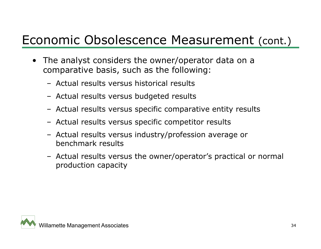#### Economic Obsolescence Measurement (cont.)

- The analyst considers the owner/operator data on a comparative basis, such as the following:
	- Actual results versus historical results
	- Actual results versus budgeted results
	- Actual results versus specific comparative entity results
	- Actual results versus specific competitor results
	- Actual results versus industry/profession average or benchmark results
	- Actual results versus the owner/operator's practical or normal production capacity

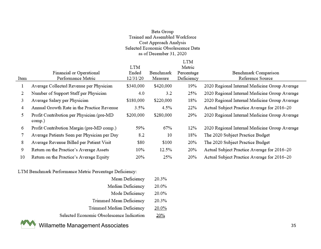#### Beta Group Trained and Assembled Workforce Cost Approach Analysis Selected Economic Obsolescence Data as of December 31, 2020

|      | Financial or Operational                            | LTM<br>Ended | Benchmark | <b>LTM</b><br>Metric<br>Percentage | Benchmark Comparison                          |
|------|-----------------------------------------------------|--------------|-----------|------------------------------------|-----------------------------------------------|
| Item | Performance Metric                                  | 12/31/20     | Measure   | Deficiency                         | Reference Source                              |
|      | Average Collected Revenue per Physician             | \$340,000    | \$420,000 | 19%                                | 2020 Regional Internal Medicine Group Average |
| 2    | Number of Support Staff per Physician               | 4.0          | 3.2       | 25%                                | 2020 Regional Internal Medicine Group Average |
| 3    | Average Salary per Physician                        | \$180,000    | \$220,000 | 18%                                | 2020 Regional Internal Medicine Group Average |
| 4    | Annual Growth Rate in the Practice Revenue          | 3.5%         | 4.5%      | 22%                                | Actual Subject Practice Average for 2016–20   |
| 5    | Profit Contribution per Physician (pre-MD<br>comp.) | \$200,000    | \$280,000 | 29%                                | 2020 Regional Internal Medicine Group Average |
| 6    | Profit Contribution Margin (pre-MD comp.)           | 59%          | 67%       | 12%                                | 2020 Regional Internal Medicine Group Average |
|      | Average Patients Seen per Physician per Day         | 8.2          | 10        | 18%                                | The 2020 Subject Practice Budget              |
| 8    | Average Revenue Billed per Patient Visit            | \$80         | \$100     | 20%                                | The 2020 Subject Practice Budget              |
| 9    | Return on the Practice's Average Assets             | 10%          | 12.5%     | 20%                                | Actual Subject Practice Average for 2016-20   |
| 10   | Return on the Practice's Average Equity             | 20%          | 25%       | 20%                                | Actual Subject Practice Average for 2016-20   |

LTM Benchmark Performance Metric Percentage Deficiency:

| Mean Deficiency                           | 20.3% |
|-------------------------------------------|-------|
| Median Deficiency                         | 20.0% |
| Mode Deficiency                           | 20.0% |
| Trimmed Mean Deficiency                   | 20.3% |
| Trimmed Median Deficiency                 | 20.0% |
| Selected Economic Obsolescence Indication | 20%   |
|                                           |       |



Willamette Management Associates 35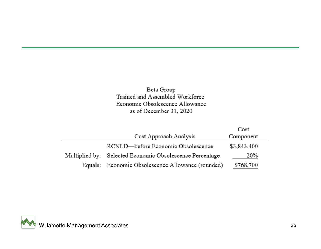#### Beta Group Trained and Assembled Workforce: Economic Obsolescence Allowance as of December 31, 2020

|                                                          | Cost        |
|----------------------------------------------------------|-------------|
| Cost Approach Analysis                                   | Component   |
| RCNLD-before Economic Obsolescence                       | \$3,843,400 |
| Multiplied by: Selected Economic Obsolescence Percentage | 20%         |
| Equals: Economic Obsolescence Allowance (rounded)        | \$768,700   |

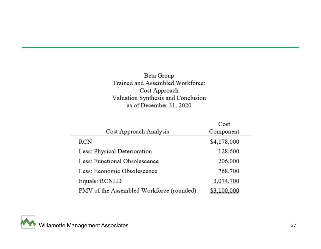#### Beta Group Trained and Assembled Workforce:  $\operatorname{Cost}$  Approach Valuation Synthesis and Conclusion as of December 31, 2020

|                                          | Cost        |
|------------------------------------------|-------------|
| Cost Approach Analysis                   | Component   |
| RCN                                      | \$4,178,000 |
| Less: Physical Deterioration             | 128,600     |
| Less: Functional Obsolescence            | 206,000     |
| Less: Economic Obsolescence              | 768,700     |
| Equals: RCNLD                            | 3,074,700   |
| FMV of the Assembled Workforce (rounded) |             |

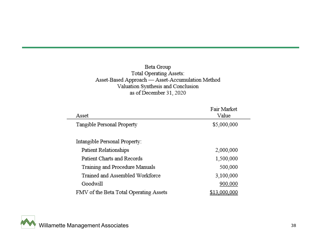#### Beta Group Total Operating Assets: Asset-Based Approach - Asset-Accumulation Method Valuation Synthesis and Conclusion as of December 31, 2020

| Asset                                  | Fair Market<br>Value |
|----------------------------------------|----------------------|
| Tangible Personal Property             | \$5,000,000          |
| Intangible Personal Property:          |                      |
| Patient Relationships                  | 2,000,000            |
| Patient Charts and Records             | 1,500,000            |
| Training and Procedure Manuals         | 500,000              |
| Trained and Assembled Workforce        | 3,100,000            |
| Goodwill                               | 900,000              |
| FMV of the Beta Total Operating Assets | <u>\$13,000,000</u>  |

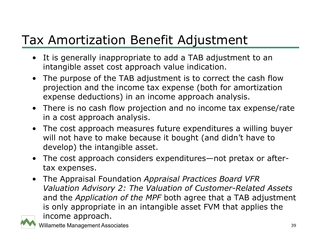## Tax Amortization Benefit Adjustment

- It is generally inappropriate to add a TAB adjustment to an intangible asset cost approach value indication.
- The purpose of the TAB adjustment is to correct the cash flow projection and the income tax expense (both for amortization expense deductions) in an income approach analysis.
- There is no cash flow projection and no income tax expense/rate in a cost approach analysis.
- The cost approach measures future expenditures a willing buyer will not have to make because it bought (and didn't have to develop) the intangible asset.
- The cost approach considers expenditures—not pretax or aftertax expenses.
- The Appraisal Foundation *Appraisal Practices Board VFR Valuation Advisory 2: The Valuation of Customer-Related Assets* and the *Application of the MPF* both agree that a TAB adjustment is only appropriate in an intangible asset FVM that applies the income approach.



willamette Management Associates 39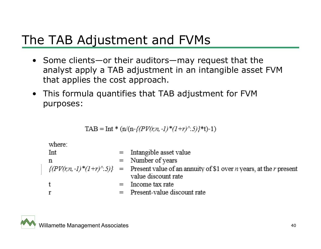#### The TAB Adjustment and FVMs

- Some clients—or their auditors—may request that the analyst apply a TAB adjustment in an intangible asset FVM that applies the cost approach.
- This formula quantifies that TAB adjustment for FVM purposes:

$$
TAB = Int * (n/(n-{(PV(r,n,-1)*(1+r)^{2}.5)})^*t)-1)
$$

where:

\n
$$
\begin{aligned}\n &\text{Int} &= \text{Intangible asset value} \\
&\text{n} &= \text{Number of years} \\
&\text{{(PV(r,n,-1)*(1+r)^{-}}.5)}} \\
&= \text{Present value of an annuity of $1 over } n \text{ years, at the } r \text{ present value discount rate} \\
&\text{Income tax rate} \\
&\text{F} &= \text{Present-value discount rate}\n \end{aligned}
$$
\n

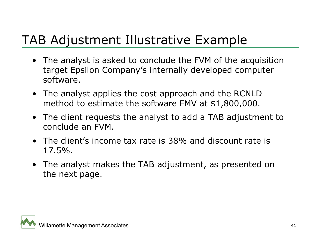### TAB Adjustment Illustrative Example

- The analyst is asked to conclude the FVM of the acquisition target Epsilon Company's internally developed computer software.
- The analyst applies the cost approach and the RCNLD method to estimate the software FMV at \$1,800,000.
- The client requests the analyst to add a TAB adjustment to conclude an FVM.
- The client's income tax rate is 38% and discount rate is 17.5%.
- The analyst makes the TAB adjustment, as presented on the next page.

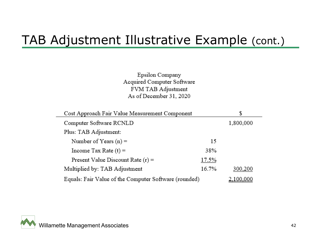#### TAB Adjustment Illustrative Example (cont.)

Epsilon Company Acquired Computer Software FVM TAB Adjustment As of December 31, 2020

| Cost Approach Fair Value Measurement Component        |                  | \$        |
|-------------------------------------------------------|------------------|-----------|
| Computer Software RCNLD                               |                  | 1,800,000 |
| Plus: TAB Adjustment:                                 |                  |           |
| Number of Years $(n)$ =                               | 15               |           |
| Income Tax Rate $(t) =$                               | 38%              |           |
| Present Value Discount Rate $(r)$ =                   | 17.5%            |           |
| Multiplied by: TAB Adjustment                         | 16.7%            | 300,200   |
| Equals: Fair Value of the Computer Software (rounded) | <u>2.100.000</u> |           |

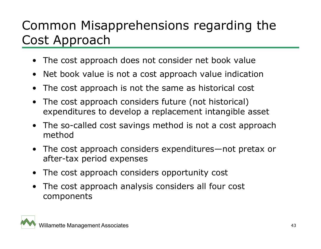## Common Misapprehensions regarding the Cost Approach

- •The cost approach does not consider net book value
- •Net book value is not a cost approach value indication
- $\bullet$ The cost approach is not the same as historical cost
- $\bullet$  The cost approach considers future (not historical) expenditures to develop a replacement intangible asset
- • The so-called cost savings method is not a cost approach method
- • The cost approach considers expenditures—not pretax or after-tax period expenses
- •The cost approach considers opportunity cost
- • The cost approach analysis considers all four cost components

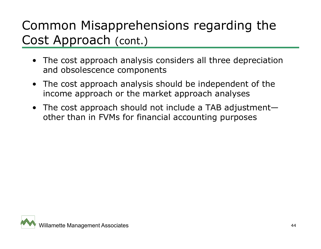## Common Misapprehensions regarding the Cost Approach (cont.)

- The cost approach analysis considers all three depreciation and obsolescence components
- The cost approach analysis should be independent of the income approach or the market approach analyses
- The cost approach should not include a TAB adjustment other than in FVMs for financial accounting purposes

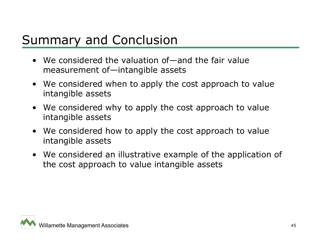#### Summary and Conclusion

- We considered the valuation of—and the fair value measurement of—intangible assets
- We considered when to apply the cost approach to value intangible assets
- We considered why to apply the cost approach to value intangible assets
- We considered how to apply the cost approach to value intangible assets
- We considered an illustrative example of the application of the cost approach to value intangible assets